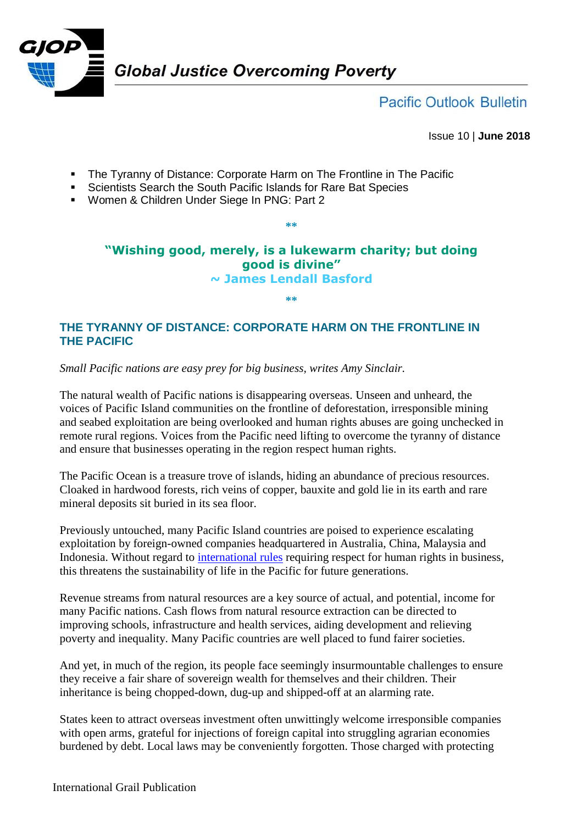

**Pacific Outlook Bulletin** 

Issue 10 | **June 2018**

- **The Tyranny of Distance: Corporate Harm on The Frontline in The Pacific**
- Scientists Search the South Pacific Islands for Rare Bat Species
- Women & Children Under Siege In PNG: Part 2

## **"Wishing good, merely, is a lukewarm charity; but doing good is divine" ~ James Lendall Basford**

**\*\***

**\*\***

## **THE TYRANNY OF DISTANCE: CORPORATE HARM ON THE FRONTLINE IN THE PACIFIC**

*Small Pacific nations are easy prey for big business, writes Amy Sinclair.*

The natural wealth of Pacific nations is disappearing overseas. Unseen and unheard, the voices of Pacific Island communities on the frontline of deforestation, irresponsible mining and seabed exploitation are being overlooked and human rights abuses are going unchecked in remote rural regions. Voices from the Pacific need lifting to overcome the tyranny of distance and ensure that businesses operating in the region respect human rights.

The Pacific Ocean is a treasure trove of islands, hiding an abundance of precious resources. Cloaked in hardwood forests, rich veins of copper, bauxite and gold lie in its earth and rare mineral deposits sit buried in its sea floor.

Previously untouched, many Pacific Island countries are poised to experience escalating exploitation by foreign-owned companies headquartered in Australia, China, Malaysia and Indonesia. Without regard to [international rules](http://www.ohchr.org/Documents/Publications/GuidingPrinciplesBusinessHR_EN.pdf) requiring respect for human rights in business, this threatens the sustainability of life in the Pacific for future generations.

Revenue streams from natural resources are a key source of actual, and potential, income for many Pacific nations. Cash flows from natural resource extraction can be directed to improving schools, infrastructure and health services, aiding development and relieving poverty and inequality. Many Pacific countries are well placed to fund fairer societies.

And yet, in much of the region, its people face seemingly insurmountable challenges to ensure they receive a fair share of sovereign wealth for themselves and their children. Their inheritance is being chopped-down, dug-up and shipped-off at an alarming rate.

States keen to attract overseas investment often unwittingly welcome irresponsible companies with open arms, grateful for injections of foreign capital into struggling agrarian economies burdened by debt. Local laws may be conveniently forgotten. Those charged with protecting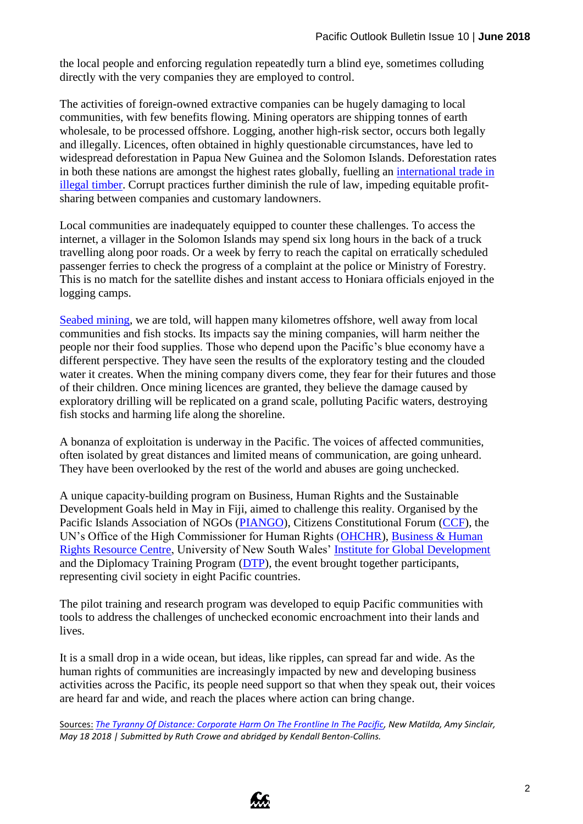the local people and enforcing regulation repeatedly turn a blind eye, sometimes colluding directly with the very companies they are employed to control.

The activities of foreign-owned extractive companies can be hugely damaging to local communities, with few benefits flowing. Mining operators are shipping tonnes of earth wholesale, to be processed offshore. Logging, another high-risk sector, occurs both legally and illegally. Licences, often obtained in highly questionable circumstances, have led to widespread deforestation in Papua New Guinea and the Solomon Islands. Deforestation rates in both these nations are amongst the highest rates globally, fuelling an [international trade in](https://www.globalwitness.org/en/campaigns/forests/stained-trade/)  [illegal timber.](https://www.globalwitness.org/en/campaigns/forests/stained-trade/) Corrupt practices further diminish the rule of law, impeding equitable profitsharing between companies and customary landowners.

Local communities are inadequately equipped to counter these challenges. To access the internet, a villager in the Solomon Islands may spend six long hours in the back of a truck travelling along poor roads. Or a week by ferry to reach the capital on erratically scheduled passenger ferries to check the progress of a complaint at the police or Ministry of Forestry. This is no match for the satellite dishes and instant access to Honiara officials enjoyed in the logging camps.

[Seabed mining,](http://www.grailaustralia.org.au/wp-content/uploads/2018/03/GJOP-Pacific-Outlook-Issue-8_February-2018.pdf) we are told, will happen many kilometres offshore, well away from local communities and fish stocks. Its impacts say the mining companies, will harm neither the people nor their food supplies. Those who depend upon the Pacific's blue economy have a different perspective. They have seen the results of the exploratory testing and the clouded water it creates. When the mining company divers come, they fear for their futures and those of their children. Once mining licences are granted, they believe the damage caused by exploratory drilling will be replicated on a grand scale, polluting Pacific waters, destroying fish stocks and harming life along the shoreline.

A bonanza of exploitation is underway in the Pacific. The voices of affected communities, often isolated by great distances and limited means of communication, are going unheard. They have been overlooked by the rest of the world and abuses are going unchecked.

A unique capacity-building program on Business, Human Rights and the Sustainable Development Goals held in May in Fiji, aimed to challenge this reality. Organised by the Pacific Islands Association of NGOs [\(PIANGO\)](http://www.piango.org/), Citizens Constitutional Forum [\(CCF\)](http://news.ccf.org.fj/), the UN's Office of the High Commissioner for Human Rights [\(OHCHR\)](https://www.ohchr.org/EN/pages/home.aspx), Business & Human [Rights Resource Centre,](https://www.business-humanrights.org/) University of New South Wales' [Institute for Global Development](http://www.international.unsw.edu.au/institute_global_development) and the Diplomacy Training Program [\(DTP\)](http://www.dtp.unsw.edu.au/), the event brought together participants, representing civil society in eight Pacific countries.

The pilot training and research program was developed to equip Pacific communities with tools to address the challenges of unchecked economic encroachment into their lands and lives.

It is a small drop in a wide ocean, but ideas, like ripples, can spread far and wide. As the human rights of communities are increasingly impacted by new and developing business activities across the Pacific, its people need support so that when they speak out, their voices are heard far and wide, and reach the places where action can bring change.

Sources: *[The Tyranny Of Distance: Corporate Harm On The Frontline In The Pacific,](https://newmatilda.com/2018/05/18/tyranny-distance-corporate-harm-frontline-pacific/) New Matilda, Amy Sinclair, May 18 2018 | Submitted by Ruth Crowe and abridged by Kendall Benton-Collins.*

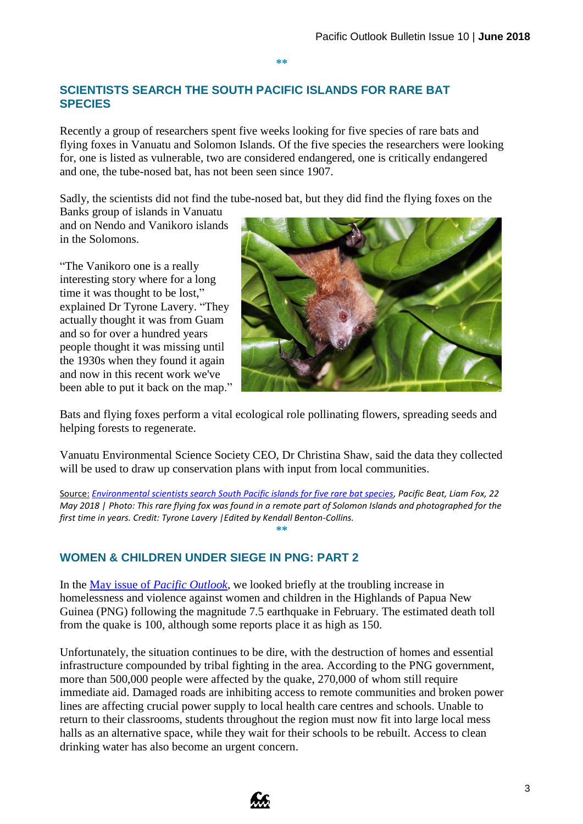**\*\***

## **SCIENTISTS SEARCH THE SOUTH PACIFIC ISLANDS FOR RARE BAT SPECIES**

Recently a group of researchers spent five weeks looking for five species of rare bats and flying foxes in Vanuatu and Solomon Islands. Of the five species the researchers were looking for, one is listed as vulnerable, two are considered endangered, one is critically endangered and one, the tube-nosed bat, has not been seen since 1907.

Sadly, the scientists did not find the tube-nosed bat, but they did find the flying foxes on the

Banks group of islands in Vanuatu and on Nendo and Vanikoro islands in the Solomons.

"The Vanikoro one is a really interesting story where for a long time it was thought to be lost," explained Dr Tyrone Lavery. "They actually thought it was from Guam and so for over a hundred years people thought it was missing until the 1930s when they found it again and now in this recent work we've been able to put it back on the map."



Bats and flying foxes perform a vital ecological role pollinating flowers, spreading seeds and helping forests to regenerate.

Vanuatu Environmental Science Society CEO, Dr Christina Shaw, said the data they collected will be used to draw up conservation plans with input from local communities.

Source: *[Environmental scientists search South Pacific islands for five rare bat species,](http://www.abc.net.au/news/2018-05-22/the-quest-to-find-5-rare-bats-in-5-weeks-in-pacific/9783380) Pacific Beat, Liam Fox, 22 May 2018 | Photo: This rare flying fox was found in a remote part of Solomon Islands and photographed for the first time in years. Credit: Tyrone Lavery |Edited by Kendall Benton-Collins.* **\*\***

## **WOMEN & CHILDREN UNDER SIEGE IN PNG: PART 2**

In the May issue of *[Pacific Outlook](http://www.grailaustralia.org.au/wp-content/uploads/2018/05/GJOP-Pacific-Outlook-Issue-9_May-2018.pdf)*, we looked briefly at the troubling increase in homelessness and violence against women and children in the Highlands of Papua New Guinea (PNG) following the magnitude 7.5 earthquake in February. The estimated death toll from the quake is 100, although some reports place it as high as 150.

Unfortunately, the situation continues to be dire, with the destruction of homes and essential infrastructure compounded by tribal fighting in the area. According to the PNG government, more than 500,000 people were affected by the quake, 270,000 of whom still require immediate aid. Damaged roads are inhibiting access to remote communities and broken power lines are affecting crucial power supply to local health care centres and schools. Unable to return to their classrooms, students throughout the region must now fit into large local mess halls as an alternative space, while they wait for their schools to be rebuilt. Access to clean drinking water has also become an urgent concern.